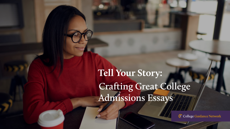

# **Tell Your Story: Crafting Great College Admissions Essays**



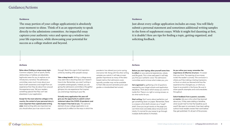The essay portion of your college application(s) is absolutely your moment to shine. Think of it as an opportunity to speak directly to the admissions committee. An impactful essay captures your authentic voice and opens up a window into your life experience, while showcasing your potential for success as a college student and beyond.

Just about every college application includes an essay. You will likely submit a personal statement and sometimes additional writing samples in the form of supplement essays. While it might feel daunting at first, it is doable! Here are tips for finding a topic, getting organized, and soliciting feedback.

### **Guidance/Actions**

### **Guidance**

**Relax about finding a unique essay topic.**  Common subjects, such as sports, family relationships or hobbies are absolutely legitimate areas for you to explore as an introductory narrative. The admissions committee cares much more about your level of self-awareness and insight from an experience than they do about how unusual the experience was. Tell your readers something special that they can't see elsewhere in your application.

**Except for the most selective colleges in the country, the content of your personal story is more important than sophisticated writing style.** Solid writing skills are important, but you should allow your true voice to come

**Before you start typing, allow yourself some time to reflect** on your personal experiences, values, and life goals. This is time well spent! It will help you find your authentic voice. The admissions committee wants to know what makes you, *you*.

**Get organized** by gathering a list of questions required by your target schools and application deadlines. Think about which essays you want to tackle first. There is no right or wrong answer, so do what works for you.

**Start writing.** Don't worry about perfection, just get something down on paper. Remember, there is a reason a first draft is known as a "rough" draft. Once you've got words on the page you can think more concretely about structure and clarity. It's normal for your essay to go through multiple drafts before it's finished.

### Actions

### Actions

through. Resist the urge to find inspiration online by reading other people's essays.

**Take a deep breath.** Writing a college essay may seem like a daunting task, but it doesn't have to be. Remember, you aren't writing a complete autobiography. Instead, you are giving the admissions committee a thoughtful glimpse into one experience that inspires you and brings meaning to your life.

**Virtually every application this year will give you the opportunity to submit a short statement about the COVID-19 pandemic and the impact it has had on you.** This optional element of your college application is an opportunity to reflect on the ways in which the

### **Guidance**

**As you refine your essay, remember the importance of effective structure**—it's easier than you think. The opening of your essay invites the reader's curiosity. The conclusion is where you'll be making a lasting impression, so focus on what you learned and how the experience has changed you, or what you hope to accomplish in the future. Be sure to share specific examples and vivid anecdotes throughout.

**Solicit feedback from a parent, counselor, or mentor.** Ask your critics what they learned about you. If they were adding a headline, what would it be? (Is that the headline you'd want?) Be open to comments. Even best-selling authors have readers review their work before they get published. It's all part of the process.

pandemic has altered your junior spring and senior fall. Along with the other writing samples you submit, it will take on even greater importance as many of the databased metrics that admissions ocers typically consider may not be available to them (like second-semester Junior year grades or standardized test scores).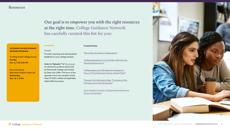

### UPCOMING COLLEGE GUIDANCE NETWORK PROGRAMS:

["Crafting Great College Essays"](https://www.collegeguidancenetwork.com/programming)  **Sunday, Dec. 6, 7:30-8:30 PM**

"Ask Us Anything: Admissions Experts Open Up" **Wednesday, Dec. 16, 7–8 PM** 

### **[Prompt](https://prompt.com/CGN/)**

Provides coaching and individualized feedback on your college essay(s)

**Listen to "Episode 7" of** *[The Search](https://admissions.dartmouth.edu/follow/thesearch)***,**

an admissions podcast sponsored by Dartmouth College and hosted by Dean Lee Coffin. The focus of the episode is how two members of the Class Of 2024 crafted unforgettable, highly effective essays.

### **Trusted Articles:**

**["This is How You Write a College Essay"](https://www.usnews.com/education/best-colleges/articles/how-to-write-a-college-essay)**

**["College Admissions in a Covid Year: SATs Are Out,](https://www.wsj.com/articles/college-admissions-in-a-covid-year-sats-are-out-personal-stories-are-in-11600315272)  [Personal Stories Are In"](https://www.wsj.com/articles/college-admissions-in-a-covid-year-sats-are-out-personal-stories-are-in-11600315272)**

**["College Applicants Will Make the Pandemic a](https://www.washingtonpost.com/education/2020/09/17/college-applicants-will-make-pandemic-focus-their-admissions-essays-should-they/)  [Focus of Their Admissions Essays. Should They?"](https://www.washingtonpost.com/education/2020/09/17/college-applicants-will-make-pandemic-focus-their-admissions-essays-should-they/)**

"**[Georgia Tech Admissions Blog: "To Answer or Not](https://sites.gatech.edu/admission-blog/2020/08/28/to-answer-or-not-to-answer-the-college-admission-covid-19-question/)  [To Answer the Covid-19 Question](https://sites.gatech.edu/admission-blog/2020/08/28/to-answer-or-not-to-answer-the-college-admission-covid-19-question/)**"

[Johns Hopkins University Undergraduate Admissions:](https://apply.jhu.edu/application-process/essays-that-worked/)  ["Essays that Worked"](https://apply.jhu.edu/application-process/essays-that-worked/)

C College Guidance Network

### **Resources**

## **Our goal is to empower you with the right resources at the right time. College Guidance Network has carefully curated this list for you:**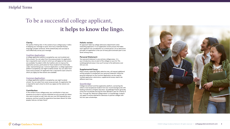



### **Clarity:**

the quality of being clear. In the context of your college essay, it refers to keeping your message on point. Don't bury it beneath flowery language complex sentences. Write authentically and concisely to more effectively convey your message.

### **[Coalition Application:](https://www.coalitionforcollegeaccess.org)**

a college application platform accepted by over one hundred and thirty schools. You can select from five essay prompts. An application fee is required for each school to which you will apply, but fee waivers are available. Founded in 2015, the Coalition aims to improve the application process, particularly for those students from historically under-represented groups. Common Application: a college application platform accepted by over eight hundred schools. You can select from seven essay prompts. An application fee is required for each school to which you apply, but fee waivers are available.

### **[Common Application](https://www.commonapp.org/apply):**

a college application platform accepted by over eight hundred schools. You can select from seven essay prompts. An application fee is required for each school to which you apply, but fee waivers are available.

### **Contribution:**

In the context of your college essay, your contribution is how your presence at an event or activity impacted not only yourself, but others who were involved, as well. How was your own life impacted by your presence, and how would the experience have been dierent for other people, had you not been there?

### **Holistic review:**

An approach taken by college admissions departments when evaluating applicants. It is an application review process that takes each applicant into consideration as a whole person. As an admissions principle, an application is the sum of many parts and each part is one factor among many.

### **Personal Statement:**

Your personal statement is your primary college essay--it is your introductory story to each of the colleges on your list. This autobiographical essay is how you'll convey to the admissions ocer who you are.

### **Supplemental Essay:**

Many schools, especially highly selective ones, will request additional writing samples to complement your personal statement. While the personal statement on the Common Application can be used for multiple application submissions, supplemental essays need to be different each time.

### **[Questbridge](https://www.questbridge.org):**

College recruitment and free application platform, connecting the nation's most exceptional students from low-income backgrounds with leading institutions of higher education. QuestBridge finalists generally come from households earning less than \$65,000 a year for a family of four. Through the "National College Match" on Questbridge, students can apply to and be selected for admission to partner colleges with full, four-year scholarships.



# **To be a successful college applicant, it helps to know the lingo.**

### **Helpful Terms**